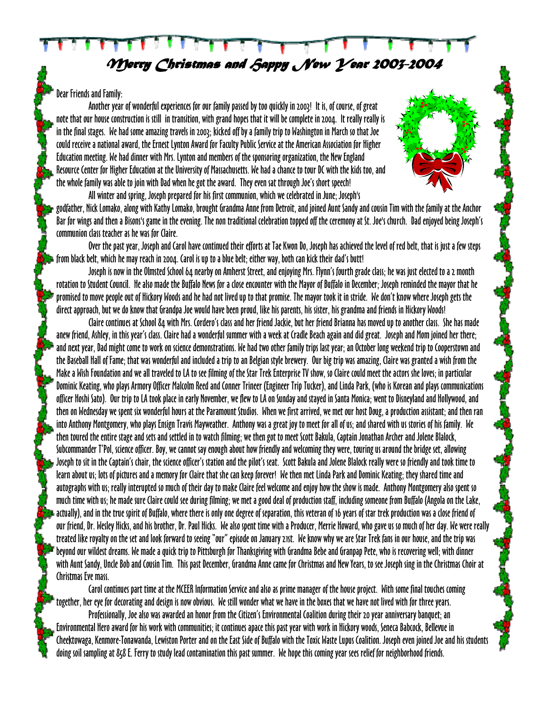*Merry Christmas and Happy New Year 2003-2004* 

## Dear Friends and Family:

Another year of wonderful experiences for our family passed by too quickly in 2003! It is, of course, of great note that our house construction is still in transition, with grand hopes that it will be complete in 2004. It really really is in the final stages. We had some amazing travels in 2003; kicked off by a family trip to Washington in March so that Joe could receive a national award, the Ernest Lynton Award for Faculty Public Service at the American Association for Higher Education meeting. We had dinner with Mrs. Lynton and members of the sponsoring organization, the New England Resource Center for Higher Education at the University of Massachusetts. We had a chance to tour DC with the kids too, and the whole family was able to join with Dad when he got the award. They even sat through Joe's short speech!



Over the past year, Joseph and Carol have continued their efforts at Tae Kwon Do, Joseph has achieved the level of red belt, that is just a few steps from black belt, which he may reach in 2004. Carol is up to a blue belt; either way, both can kick their dad's butt!

Joseph is now in the Olmsted School 64 nearby on Amherst Street, and enjoying Mrs. Flynn's fourth grade class; he was just elected to a 2 month rotation to Student Council. He also made the Buffalo News for a close encounter with the Mayor of Buffalo in December; Joseph reminded the mayor that he promised to move people out of Hickory Woods and he had not lived up to that promise. The mayor took it in stride. We don't know where Joseph gets the direct approach, but we do know that Grandpa Joe would have been proud, like his parents, his sister, his grandma and friends in Hickory Woods!

Claire continues at School 84 with Mrs. Cordero's class and her friend Jackie, but her friend Brianna has moved up to another class. She has made anew friend, Ashley, in this year's class. Claire had a wonderful summer with a week at Cradle Beach again and did great. Joseph and Mom joined her there; and next year, Dad might come to work on science demonstrations. We had two other family trips last year; an October long weekend trip to Cooperstown and the Baseball Hall of Fame; that was wonderful and included a trip to an Belgian style brewery. Our big trip was amazing, Claire was granted a wish from the Make a Wish Foundation and we all traveled to LA to see filming of the Star Trek Enterprise TV show, so Claire could meet the actors she loves; in particular Dominic Keating, who plays Armory Officer Malcolm Reed and Conner Trineer (Engineer Trip Tucker), and Linda Park, (who is Korean and plays communications officer Hoshi Sato). Our trip to LA took place in early November, we flew to LA on Sunday and stayed in Santa Monica; went to Disneyland and Hollywood, and then on Wednesday we spent six wonderful hours at the Paramount Studios. When we first arrived, we met our host Doug, a production assistant; and then ran into Anthony Montgomery, who plays Ensign Travis Mayweather. Anthony was a great joy to meet for all of us; and shared with us stories of his family. We then toured the entire stage and sets and settled in to watch filming; we then got to meet Scott Bakula, Captain Jonathan Archer and Jolene Blalock, Subcommander T'Pol, science officer. Boy, we cannot say enough about how friendly and welcoming they were, touring us around the bridge set, allowing Joseph to sit in the Captain's chair, the science officer's station and the pilot's seat. Scott Bakula and Jolene Blalock really were so friendly and took time to learn about us; lots of pictures and a memory for Claire that she can keep forever! We then met Linda Park and Dominic Keating; they shared time and autographs with us; really interupted so much of their day to make Claire feel welcome and enjoy how the show is made. Anthony Montgomery also spent so much time with us; he made sure Claire could see during filming; we met a good deal of production staff, including someone from Buffalo (Angola on the Lake, actually), and in the true spirit of Buffalo, where there is only one degree of separation, this veteran of 16 years of star trek production was a close friend of our friend, Dr. Wesley Hicks, and his brother, Dr. Paul Hicks. We also spent time with a Producer, Merrie Howard, who gave us so much of her day. We were really treated like royalty on the set and look forward to seeing "our" episode on January 21st. We know why we are Star Trek fans in our house, and the trip was beyond our wildest dreams. We made a quick trip to Pittsburgh for Thanksgiving with Grandma Bebe and Granpap Pete, who is recovering well; with dinner with Aunt Sandy, Uncle Bob and Cousin Tim. This past December, Grandma Anne came for Christmas and New Years, to see Joseph sing in the Christmas Choir at Christmas Eve mass.

Carol continues part time at the MCEER Information Service and also as prime manager of the house project. With some final touches coming together, her eye for decorating and design is now obvious. We still wonder what we have in the boxes that we have not lived with for three years. Professionally, Joe also was awarded an honor from the Citizen's Environmental Coalition during their 20 year anniversary banquet; an Environmental Hero award for his work with communities; it continues apace this past year with work in Hickory woods, Seneca Babcock, Bellevue in Cheektowaga, Kenmore-Tonawanda, Lewiston Porter and on the East Side of Buffalo with the Toxic Waste Lupus Coalition. Joseph even joined Joe and his students doing soil sampling at 858 E. Ferry to study lead contamination this past summer. We hope this coming year sees relief for neighborhood friends.